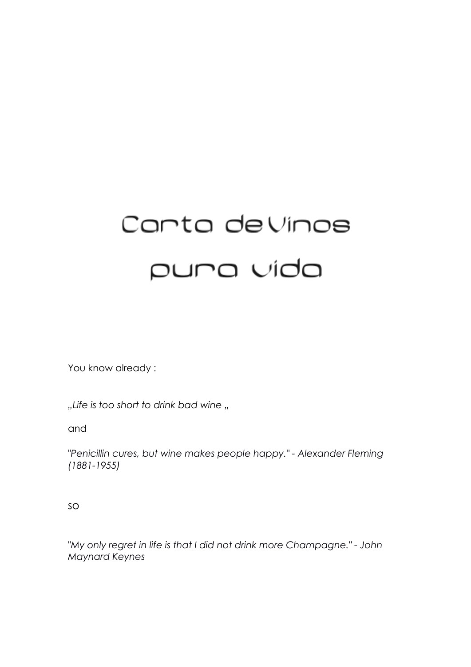# Canta de Vinos puna vida

You know already :

"Life is too short to drink bad wine "

and

*"Penicillin cures, but wine makes people happy." - Alexander Fleming (1881-1955)*

so

*"My only regret in life is that I did not drink more Champagne." - John Maynard Keynes*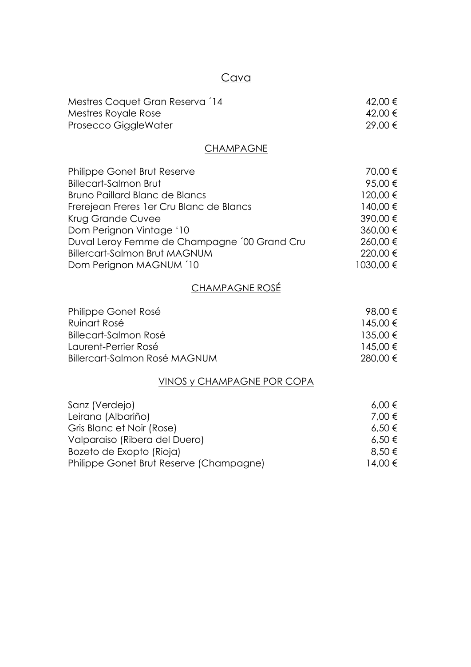## **Cava**

| Mestres Coquet Gran Reserva 14 | 42,00 € |
|--------------------------------|---------|
| Mestres Royale Rose            | 42,00 € |
| Prosecco GiggleWater           | 29,00 € |

## **CHAMPAGNE**

| Philippe Gonet Brut Reserve                  | 70,00 €   |
|----------------------------------------------|-----------|
| <b>Billecart-Salmon Brut</b>                 | 95,00 €   |
| <b>Bruno Paillard Blanc de Blancs</b>        | 120,00 €  |
| Frerejean Freres 1 er Cru Blanc de Blancs    | 140.00 €  |
| Krug Grande Cuvee                            | 390,00 €  |
| Dom Perignon Vintage '10                     | 360,00 €  |
| Duval Leroy Femme de Champagne '00 Grand Cru | 260,00 €  |
| <b>Billercart-Salmon Brut MAGNUM</b>         | 220,00 €  |
| Dom Perignon MAGNUM '10                      | 1030,00 € |

## CHAMPAGNE ROSÉ

| Philippe Gonet Rosé           | 98.00 €  |
|-------------------------------|----------|
| Ruinart Rosé                  | 145,00 € |
| Billecart-Salmon Rosé         | 135.00 € |
| Laurent-Perrier Rosé          | 145,00 € |
| Billercart-Salmon Rosé MAGNUM | 280.00 € |

## VINOS y CHAMPAGNE POR COPA

| Sanz (Verdejo)                          | $6,00 \in$ |
|-----------------------------------------|------------|
| Leirana (Albariño)                      | 7.00 €     |
| Gris Blanc et Noir (Rose)               | $6,50 \in$ |
| Valparaiso (Ribera del Duero)           | $6,50 \in$ |
| Bozeto de Exopto (Rioja)                | $8.50 \in$ |
| Philippe Gonet Brut Reserve (Champagne) | 14.00 €    |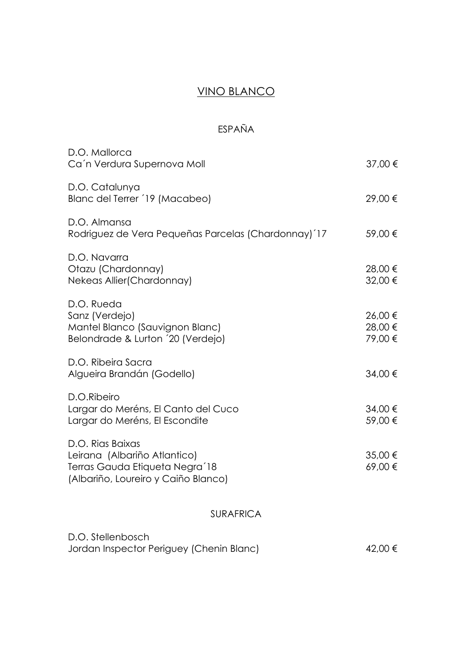# VINO BLANCO

# ESPAÑA

| D.O. Mallorca<br>Ca'n Verdura Supernova Moll                                                                              | 37,00 €                       |
|---------------------------------------------------------------------------------------------------------------------------|-------------------------------|
| D.O. Catalunya<br>Blanc del Terrer '19 (Macabeo)                                                                          | 29,00 €                       |
| D.O. Almansa<br>Rodriguez de Vera Pequeñas Parcelas (Chardonnay) 17                                                       | 59,00 €                       |
| D.O. Navarra<br>Otazu (Chardonnay)<br>Nekeas Allier (Chardonnay)                                                          | 28,00 €<br>32,00 €            |
| D.O. Rueda<br>Sanz (Verdejo)<br>Mantel Blanco (Sauvignon Blanc)<br>Belondrade & Lurton '20 (Verdejo)                      | 26,00 €<br>28,00 €<br>79,00 € |
| D.O. Ribeira Sacra<br>Algueira Brandán (Godello)                                                                          | 34,00 €                       |
| D.O.Ribeiro<br>Largar do Meréns, El Canto del Cuco<br>Largar do Meréns, El Escondite                                      | 34,00 €<br>59,00 €            |
| D.O. Rias Baixas<br>Leirana (Albariño Atlantico)<br>Terras Gauda Etiqueta Negra'18<br>(Albariño, Loureiro y Caiño Blanco) | 35,00 €<br>69,00€             |
| <b>SURAFRICA</b>                                                                                                          |                               |
| D.O. Stellenbosch<br>Jordan Inspector Periguey (Chenin Blanc)                                                             | 42,00 €                       |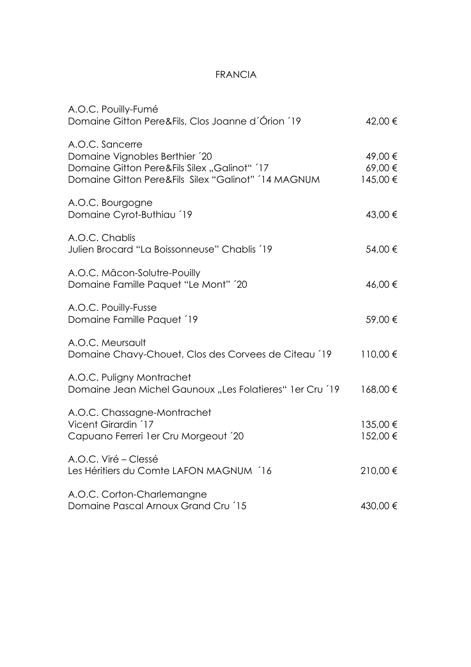#### FRANCIA

| A.O.C. Pouilly-Fumé<br>Domaine Gitton Pere&Fils, Clos Joanne d'Órion 19                                                                                  | 42,00 €                       |
|----------------------------------------------------------------------------------------------------------------------------------------------------------|-------------------------------|
| A.O.C. Sancerre<br>Domaine Vignobles Berthier '20<br>Domaine Gitton Pere&Fils Silex "Galinot" '17<br>Domaine Gitton Pere&Fils Silex "Galinot" '14 MAGNUM | 49,00 €<br>69,00€<br>145,00 € |
| A.O.C. Bourgogne<br>Domaine Cyrot-Buthiau 19                                                                                                             | 43,00 €                       |
| A.O.C. Chablis<br>Julien Brocard "La Boissonneuse" Chablis '19                                                                                           | 54,00 €                       |
| A.O.C. Mâcon-Solutre-Pouilly<br>Domaine Famille Paquet "Le Mont" '20                                                                                     | 46,00 €                       |
| A.O.C. Pouilly-Fusse<br>Domaine Famille Paquet 19                                                                                                        | 59,00 €                       |
| A.O.C. Meursault<br>Domaine Chavy-Chouet, Clos des Corvees de Citeau 19                                                                                  | 110,00 €                      |
| A.O.C. Puligny Montrachet<br>Domaine Jean Michel Gaunoux "Les Folatieres" 1 er Cru 19                                                                    | 168,00€                       |
| A.O.C. Chassagne-Montrachet<br>Vicent Girardin '17<br>Capuano Ferreri 1 er Cru Morgeout '20                                                              | 135,00 €<br>152,00 €          |
| A.O.C. Viré – Clessé<br>Les Héritiers du Comte LAFON MAGNUM '16                                                                                          | 210,00€                       |
| A.O.C. Corton-Charlemangne<br>Domaine Pascal Arnoux Grand Cru '15                                                                                        | 430,00 €                      |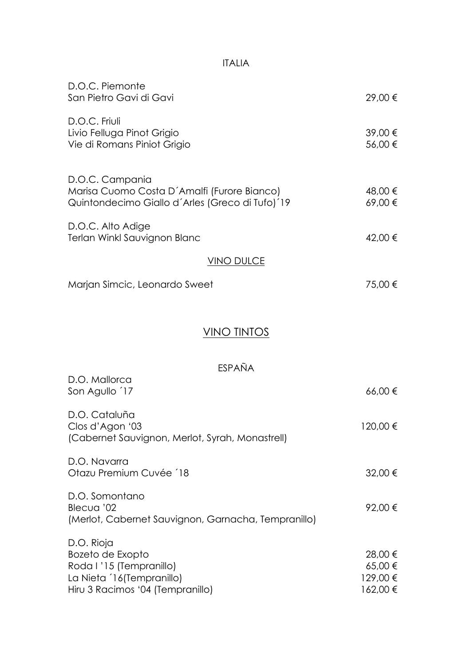## ITALIA

| D.O.C. Piemonte<br>San Pietro Gavi di Gavi                                                                                 | 29,00 €                                  |
|----------------------------------------------------------------------------------------------------------------------------|------------------------------------------|
| D.O.C. Friuli<br>Livio Felluga Pinot Grigio<br>Vie di Romans Piniot Grigio                                                 | 39,00 €<br>56,00 €                       |
| D.O.C. Campania<br>Marisa Cuomo Costa D'Amalfi (Furore Bianco)<br>Quintondecimo Giallo d'Arles (Greco di Tufo) 19          | 48,00 €<br>69,00€                        |
| D.O.C. Alto Adige<br>Terlan Winkl Sauvignon Blanc                                                                          | 42,00 €                                  |
| <u>VINO DULCE</u>                                                                                                          |                                          |
| Marjan Simcic, Leonardo Sweet                                                                                              | 75,00 €                                  |
| VINO TINTOS                                                                                                                |                                          |
| ESPAÑA                                                                                                                     |                                          |
| D.O. Mallorca<br>Son Agullo 17                                                                                             | 66,00€                                   |
| D.O. Cataluña<br>Clos d'Agon '03<br>(Cabernet Sauvignon, Merlot, Syrah, Monastrell)                                        | 120,00 €                                 |
| D.O. Navarra<br>Otazu Premium Cuvée 18                                                                                     | 32,00 €                                  |
| D.O. Somontano<br>Blecua '02<br>(Merlot, Cabernet Sauvignon, Garnacha, Tempranillo)                                        | 92,00€                                   |
| D.O. Rioja<br>Bozeto de Exopto<br>Roda I '15 (Tempranillo)<br>La Nieta 16(Tempranillo)<br>Hiru 3 Racimos '04 (Tempranillo) | 28,00 €<br>65,00 €<br>129,00€<br>162,00€ |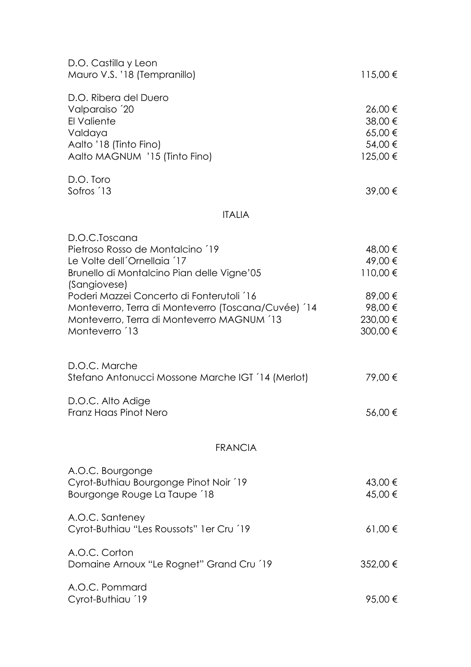| D.O. Castilla y Leon<br>Mauro V.S. '18 (Tempranillo)                                                                                                                                                                                                                                                            | $115,00 \in$                                                                 |
|-----------------------------------------------------------------------------------------------------------------------------------------------------------------------------------------------------------------------------------------------------------------------------------------------------------------|------------------------------------------------------------------------------|
| D.O. Ribera del Duero<br>Valparaiso '20<br>El Valiente<br>Valdaya<br>Aalto '18 (Tinto Fino)<br>Aalto MAGNUM '15 (Tinto Fino)                                                                                                                                                                                    | 26,00 €<br>38,00 €<br>65,00 €<br>54,00 €<br>125,00 €                         |
| D.O. Toro<br>Sofros 13                                                                                                                                                                                                                                                                                          | 39,00 €                                                                      |
| <b>ITALIA</b>                                                                                                                                                                                                                                                                                                   |                                                                              |
| D.O.C.Toscana<br>Pietroso Rosso de Montalcino 19<br>Le Volte dell'Ornellaia 17<br>Brunello di Montalcino Pian delle Vigne'05<br>(Sangiovese)<br>Poderi Mazzei Concerto di Fonterutoli '16<br>Monteverro, Terra di Monteverro (Toscana/Cuvée) '14<br>Monteverro, Terra di Monteverro MAGNUM '13<br>Monteverro 13 | 48,00 €<br>49,00 €<br>110,00 €<br>89,00 €<br>98,00 €<br>230,00 €<br>300,00 € |
| D.O.C. Marche<br>Stefano Antonucci Mossone Marche IGT '14 (Merlot)                                                                                                                                                                                                                                              | 79,00 €                                                                      |
| D.O.C. Alto Adige<br>Franz Haas Pinot Nero                                                                                                                                                                                                                                                                      | 56,00€                                                                       |
| <b>FRANCIA</b>                                                                                                                                                                                                                                                                                                  |                                                                              |
| A.O.C. Bourgonge<br>Cyrot-Buthiau Bourgonge Pinot Noir 19<br>Bourgonge Rouge La Taupe 18                                                                                                                                                                                                                        | 43,00 €<br>45,00 €                                                           |
| A.O.C. Santeney<br>Cyrot-Buthiau "Les Roussots" 1 er Cru 19                                                                                                                                                                                                                                                     | $61,00 \in$                                                                  |
| A.O.C. Corton<br>Domaine Arnoux "Le Rognet" Grand Cru 19                                                                                                                                                                                                                                                        | 352,00 €                                                                     |
| A.O.C. Pommard<br>Cyrot-Buthiau 19                                                                                                                                                                                                                                                                              | 95,00 €                                                                      |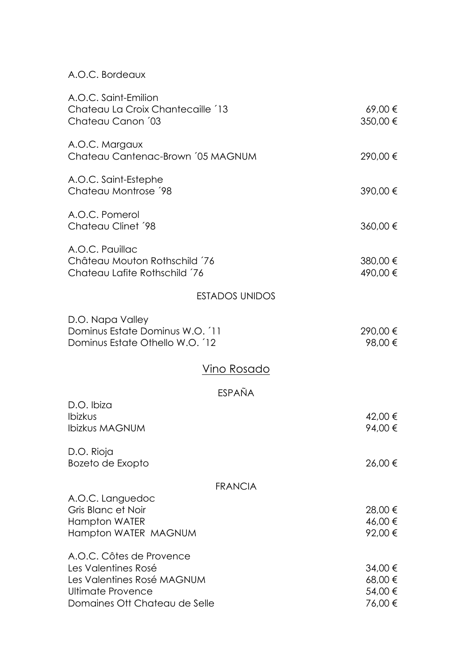| A.O.C. Saint-Emilion<br>Chateau La Croix Chantecaille '13<br>Chateau Canon '03                                                      | 69,00€<br>350,00 €                       |
|-------------------------------------------------------------------------------------------------------------------------------------|------------------------------------------|
| A.O.C. Margaux<br>Chateau Cantenac-Brown '05 MAGNUM                                                                                 | 290,00 €                                 |
| A.O.C. Saint-Estephe<br>Chateau Montrose '98                                                                                        | 390,00 €                                 |
| A.O.C. Pomerol<br>Chateau Clinet '98                                                                                                | 360,00 €                                 |
| A.O.C. Pauillac<br>Château Mouton Rothschild 76<br>Chateau Lafite Rothschild '76                                                    | 380,00 €<br>490,00 €                     |
| <b>ESTADOS UNIDOS</b>                                                                                                               |                                          |
| D.O. Napa Valley<br>Dominus Estate Dominus W.O. 11<br>Dominus Estate Othello W.O. 12                                                | 290,00 €<br>98,00 €                      |
| <u>Vino Rosado</u>                                                                                                                  |                                          |
| ESPAÑA                                                                                                                              |                                          |
| D.O. Ibiza<br>Ibizkus<br><b>Ibizkus MAGNUM</b>                                                                                      | 42,00 €<br>94,00 €                       |
| D.O. Rioja<br>Bozeto de Exopto                                                                                                      | 26,00 €                                  |
| <b>FRANCIA</b>                                                                                                                      |                                          |
| A.O.C. Languedoc<br>Gris Blanc et Noir<br><b>Hampton WATER</b><br>Hampton WATER MAGNUM                                              | 28,00 €<br>46,00 €<br>92,00 €            |
| A.O.C. Côtes de Provence<br>Les Valentines Rosé<br>Les Valentines Rosé MAGNUM<br>Ultimate Provence<br>Domaines Ott Chateau de Selle | 34,00 €<br>68,00 €<br>54,00 €<br>76,00 € |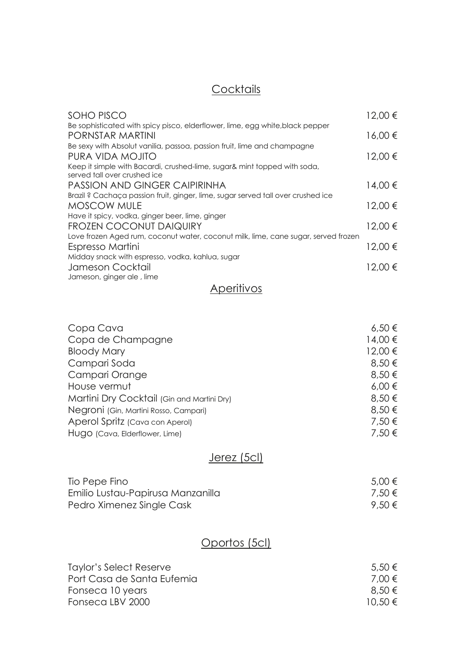# **Cocktails**

| SOHO PISCO                                                                                                    | 12,00 € |
|---------------------------------------------------------------------------------------------------------------|---------|
| Be sophisticated with spicy pisco, elderflower, lime, egg white, black pepper<br><b>PORNSTAR MARTINI</b>      | 16,00€  |
| Be sexy with Absolut vanilia, passoa, passion fruit, lime and champagne                                       |         |
| PURA VIDA MOJITO                                                                                              | 12,00 € |
| Keep it simple with Bacardi, crushed-lime, sugar& mint topped with soda,<br>served tall over crushed ice      |         |
| <b>PASSION AND GINGER CAIPIRINHA</b>                                                                          | 14,00 € |
| Brazil ? Cachaça passion fruit, ginger, lime, sugar served tall over crushed ice<br><b>MOSCOW MULE</b>        | 12,00 € |
| Have it spicy, vodka, ginger beer, lime, ginger                                                               |         |
| FROZEN COCONUT DAIQUIRY<br>Love frozen Aged rum, coconut water, coconut milk, lime, cane sugar, served frozen | 12,00 € |
| Espresso Martini                                                                                              | 12,00 € |
| Midday snack with espresso, vodka, kahlua, sugar<br>Jameson Cocktail                                          | 12.00 € |
| Jameson, ginger ale, lime                                                                                     |         |

## **Aperitivos**

| Copa Cava                                  | $6,50 \in$ |
|--------------------------------------------|------------|
| Copa de Champagne                          | 14,00 €    |
| <b>Bloody Mary</b>                         | 12,00 €    |
| Campari Soda                               | 8,50 €     |
| Campari Orange                             | 8,50 €     |
| House vermut                               | $6,00 \in$ |
| Martini Dry Cocktail (Gin and Martini Dry) | 8,50 €     |
| Negroni (Gin, Martini Rosso, Campari)      | 8,50 €     |
| Aperol Spritz (Cava con Aperol)            | 7,50 €     |
| Hugo (Cava, Elderflower, Lime)             | 7,50 €     |

# Jerez (5cl)

| Tio Pepe Fino                     | 5,00 € |
|-----------------------------------|--------|
| Emilio Lustau-Papirusa Manzanilla | 7,50 € |
| Pedro Ximenez Single Cask         | 9,50€  |

# Oportos (5cl)

| $5.50 \in$  |
|-------------|
| 7.00 €      |
| 8,50€       |
| $10.50 \in$ |
|             |